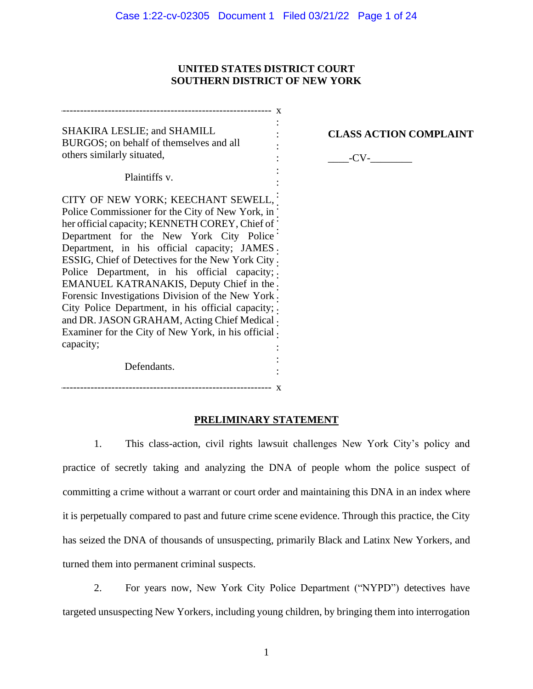### **UNITED STATES DISTRICT COURT SOUTHERN DISTRICT OF NEW YORK**

: : : : : :

SHAKIRA LESLIE; and SHAMILL BURGOS; on behalf of themselves and all others similarly situated,

------------------------------------------------------------- x

**CLASS ACTION COMPLAINT**

 $-CV$ - $-$ 

Plaintiffs v.

CITY OF NEW YORK; KEECHANT SEWELL, Police Commissioner for the City of New York, in her official capacity; KENNETH COREY, Chief of Department for the New York City Police Department, in his official capacity; JAMES : ESSIG, Chief of Detectives for the New York City . Police Department, in his official capacity; EMANUEL KATRANAKIS, Deputy Chief in the . Forensic Investigations Division of the New York : City Police Department, in his official capacity; and DR. JASON GRAHAM, Acting Chief Medical . Examiner for the City of New York, in his official . capacity; :

Defendants.

------------------------------------------------------------- x

## **PRELIMINARY STATEMENT**

: :

1. This class-action, civil rights lawsuit challenges New York City's policy and practice of secretly taking and analyzing the DNA of people whom the police suspect of committing a crime without a warrant or court order and maintaining this DNA in an index where it is perpetually compared to past and future crime scene evidence. Through this practice, the City has seized the DNA of thousands of unsuspecting, primarily Black and Latinx New Yorkers, and turned them into permanent criminal suspects.

2. For years now, New York City Police Department ("NYPD") detectives have targeted unsuspecting New Yorkers, including young children, by bringing them into interrogation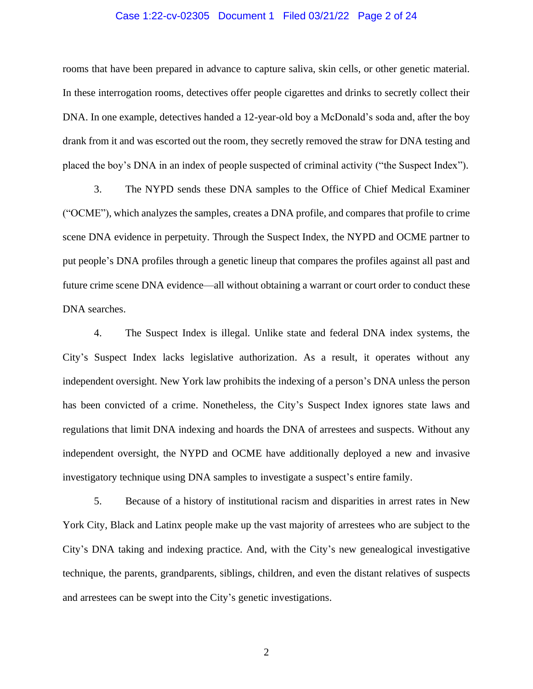#### Case 1:22-cv-02305 Document 1 Filed 03/21/22 Page 2 of 24

rooms that have been prepared in advance to capture saliva, skin cells, or other genetic material. In these interrogation rooms, detectives offer people cigarettes and drinks to secretly collect their DNA. In one example, detectives handed a 12-year-old boy a McDonald's soda and, after the boy drank from it and was escorted out the room, they secretly removed the straw for DNA testing and placed the boy's DNA in an index of people suspected of criminal activity ("the Suspect Index").

3. The NYPD sends these DNA samples to the Office of Chief Medical Examiner ("OCME"), which analyzes the samples, creates a DNA profile, and compares that profile to crime scene DNA evidence in perpetuity. Through the Suspect Index, the NYPD and OCME partner to put people's DNA profiles through a genetic lineup that compares the profiles against all past and future crime scene DNA evidence—all without obtaining a warrant or court order to conduct these DNA searches.

4. The Suspect Index is illegal. Unlike state and federal DNA index systems, the City's Suspect Index lacks legislative authorization. As a result, it operates without any independent oversight. New York law prohibits the indexing of a person's DNA unless the person has been convicted of a crime. Nonetheless, the City's Suspect Index ignores state laws and regulations that limit DNA indexing and hoards the DNA of arrestees and suspects. Without any independent oversight, the NYPD and OCME have additionally deployed a new and invasive investigatory technique using DNA samples to investigate a suspect's entire family.

5. Because of a history of institutional racism and disparities in arrest rates in New York City, Black and Latinx people make up the vast majority of arrestees who are subject to the City's DNA taking and indexing practice. And, with the City's new genealogical investigative technique, the parents, grandparents, siblings, children, and even the distant relatives of suspects and arrestees can be swept into the City's genetic investigations.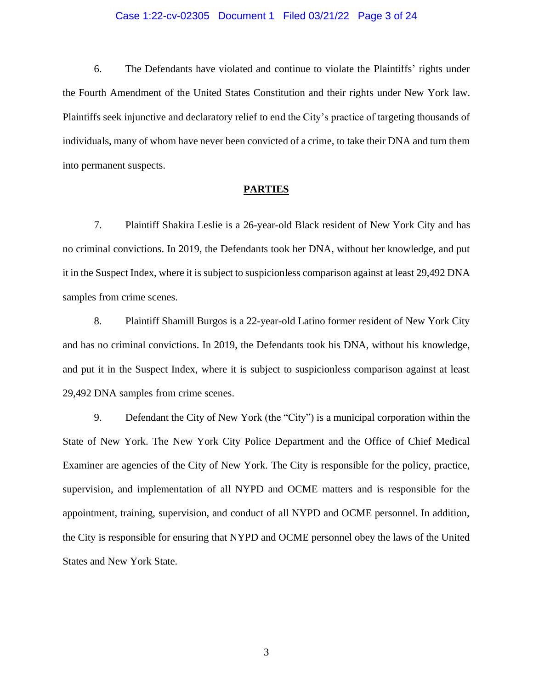#### Case 1:22-cv-02305 Document 1 Filed 03/21/22 Page 3 of 24

6. The Defendants have violated and continue to violate the Plaintiffs' rights under the Fourth Amendment of the United States Constitution and their rights under New York law. Plaintiffs seek injunctive and declaratory relief to end the City's practice of targeting thousands of individuals, many of whom have never been convicted of a crime, to take their DNA and turn them into permanent suspects.

### **PARTIES**

7. Plaintiff Shakira Leslie is a 26-year-old Black resident of New York City and has no criminal convictions. In 2019, the Defendants took her DNA, without her knowledge, and put it in the Suspect Index, where it is subject to suspicionless comparison against at least 29,492 DNA samples from crime scenes.

8. Plaintiff Shamill Burgos is a 22-year-old Latino former resident of New York City and has no criminal convictions. In 2019, the Defendants took his DNA, without his knowledge, and put it in the Suspect Index, where it is subject to suspicionless comparison against at least 29,492 DNA samples from crime scenes.

9. Defendant the City of New York (the "City") is a municipal corporation within the State of New York. The New York City Police Department and the Office of Chief Medical Examiner are agencies of the City of New York. The City is responsible for the policy, practice, supervision, and implementation of all NYPD and OCME matters and is responsible for the appointment, training, supervision, and conduct of all NYPD and OCME personnel. In addition, the City is responsible for ensuring that NYPD and OCME personnel obey the laws of the United States and New York State.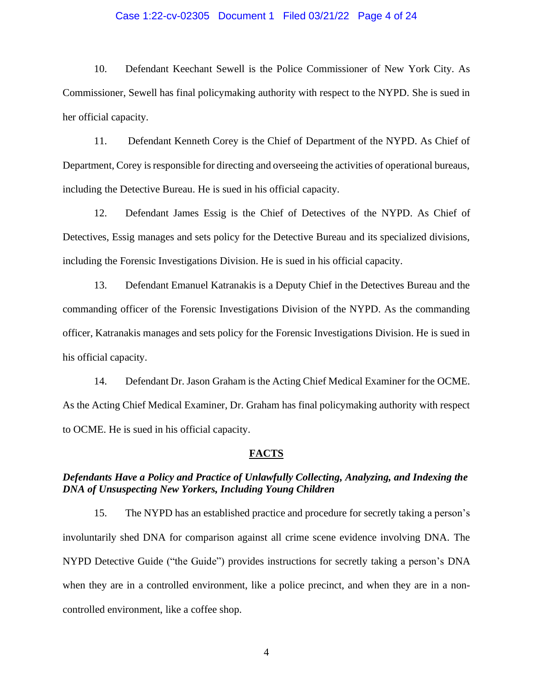#### Case 1:22-cv-02305 Document 1 Filed 03/21/22 Page 4 of 24

10. Defendant Keechant Sewell is the Police Commissioner of New York City. As Commissioner, Sewell has final policymaking authority with respect to the NYPD. She is sued in her official capacity.

11. Defendant Kenneth Corey is the Chief of Department of the NYPD. As Chief of Department, Corey is responsible for directing and overseeing the activities of operational bureaus, including the Detective Bureau. He is sued in his official capacity.

12. Defendant James Essig is the Chief of Detectives of the NYPD. As Chief of Detectives, Essig manages and sets policy for the Detective Bureau and its specialized divisions, including the Forensic Investigations Division. He is sued in his official capacity.

13. Defendant Emanuel Katranakis is a Deputy Chief in the Detectives Bureau and the commanding officer of the Forensic Investigations Division of the NYPD. As the commanding officer, Katranakis manages and sets policy for the Forensic Investigations Division. He is sued in his official capacity.

14. Defendant Dr. Jason Graham is the Acting Chief Medical Examiner for the OCME. As the Acting Chief Medical Examiner, Dr. Graham has final policymaking authority with respect to OCME. He is sued in his official capacity.

### **FACTS**

## *Defendants Have a Policy and Practice of Unlawfully Collecting, Analyzing, and Indexing the DNA of Unsuspecting New Yorkers, Including Young Children*

15. The NYPD has an established practice and procedure for secretly taking a person's involuntarily shed DNA for comparison against all crime scene evidence involving DNA. The NYPD Detective Guide ("the Guide") provides instructions for secretly taking a person's DNA when they are in a controlled environment, like a police precinct, and when they are in a noncontrolled environment, like a coffee shop.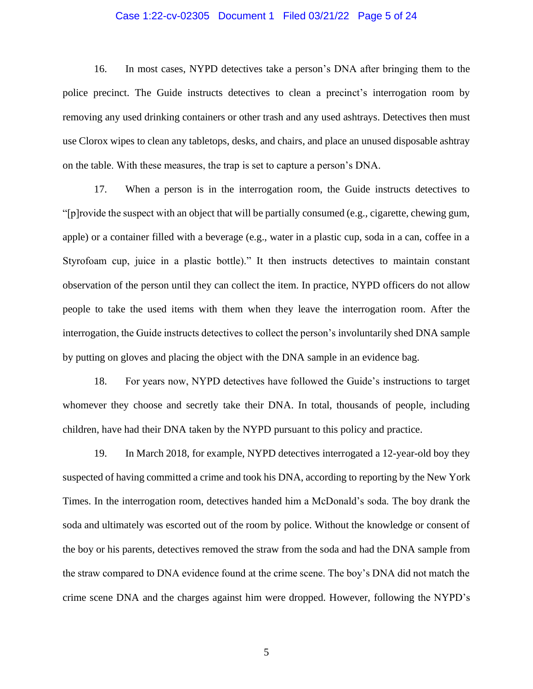#### Case 1:22-cv-02305 Document 1 Filed 03/21/22 Page 5 of 24

16. In most cases, NYPD detectives take a person's DNA after bringing them to the police precinct. The Guide instructs detectives to clean a precinct's interrogation room by removing any used drinking containers or other trash and any used ashtrays. Detectives then must use Clorox wipes to clean any tabletops, desks, and chairs, and place an unused disposable ashtray on the table. With these measures, the trap is set to capture a person's DNA.

17. When a person is in the interrogation room, the Guide instructs detectives to "[p]rovide the suspect with an object that will be partially consumed (e.g., cigarette, chewing gum, apple) or a container filled with a beverage (e.g., water in a plastic cup, soda in a can, coffee in a Styrofoam cup, juice in a plastic bottle)." It then instructs detectives to maintain constant observation of the person until they can collect the item. In practice, NYPD officers do not allow people to take the used items with them when they leave the interrogation room. After the interrogation, the Guide instructs detectives to collect the person's involuntarily shed DNA sample by putting on gloves and placing the object with the DNA sample in an evidence bag.

18. For years now, NYPD detectives have followed the Guide's instructions to target whomever they choose and secretly take their DNA. In total, thousands of people, including children, have had their DNA taken by the NYPD pursuant to this policy and practice.

19. In March 2018, for example, NYPD detectives interrogated a 12-year-old boy they suspected of having committed a crime and took his DNA, according to reporting by the New York Times. In the interrogation room, detectives handed him a McDonald's soda. The boy drank the soda and ultimately was escorted out of the room by police. Without the knowledge or consent of the boy or his parents, detectives removed the straw from the soda and had the DNA sample from the straw compared to DNA evidence found at the crime scene. The boy's DNA did not match the crime scene DNA and the charges against him were dropped. However, following the NYPD's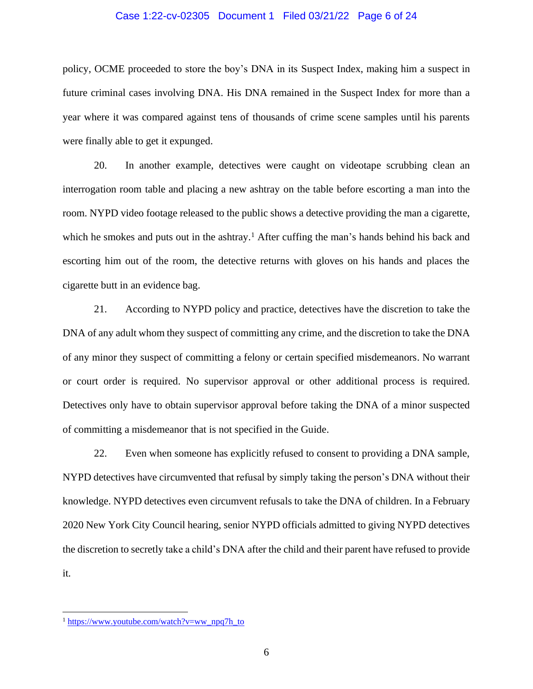#### Case 1:22-cv-02305 Document 1 Filed 03/21/22 Page 6 of 24

policy, OCME proceeded to store the boy's DNA in its Suspect Index, making him a suspect in future criminal cases involving DNA. His DNA remained in the Suspect Index for more than a year where it was compared against tens of thousands of crime scene samples until his parents were finally able to get it expunged.

20. In another example, detectives were caught on videotape scrubbing clean an interrogation room table and placing a new ashtray on the table before escorting a man into the room. NYPD video footage released to the public shows a detective providing the man a cigarette, which he smokes and puts out in the ashtray.<sup>1</sup> After cuffing the man's hands behind his back and escorting him out of the room, the detective returns with gloves on his hands and places the cigarette butt in an evidence bag.

21. According to NYPD policy and practice, detectives have the discretion to take the DNA of any adult whom they suspect of committing any crime, and the discretion to take the DNA of any minor they suspect of committing a felony or certain specified misdemeanors. No warrant or court order is required. No supervisor approval or other additional process is required. Detectives only have to obtain supervisor approval before taking the DNA of a minor suspected of committing a misdemeanor that is not specified in the Guide.

22. Even when someone has explicitly refused to consent to providing a DNA sample, NYPD detectives have circumvented that refusal by simply taking the person's DNA without their knowledge. NYPD detectives even circumvent refusals to take the DNA of children. In a February 2020 New York City Council hearing, senior NYPD officials admitted to giving NYPD detectives the discretion to secretly take a child's DNA after the child and their parent have refused to provide it.

 $1 \text{ https://www.voutube.com/watch?}v=wwnpq7h$  to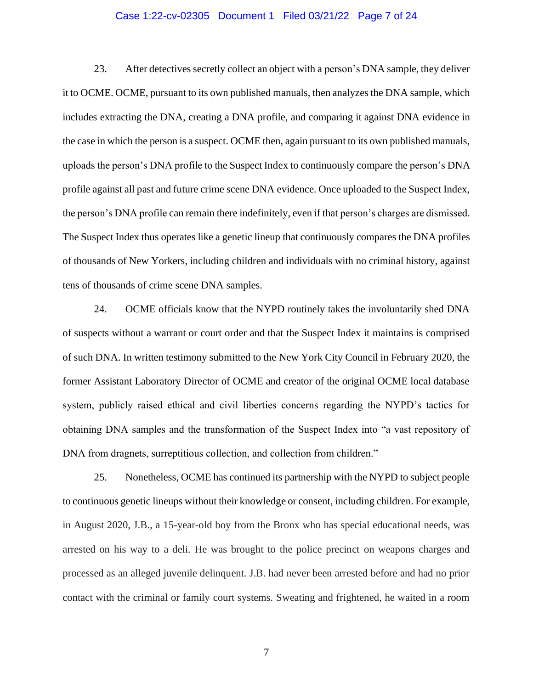#### Case 1:22-cv-02305 Document 1 Filed 03/21/22 Page 7 of 24

23. After detectives secretly collect an object with a person's DNA sample, they deliver it to OCME. OCME, pursuant to its own published manuals, then analyzes the DNA sample, which includes extracting the DNA, creating a DNA profile, and comparing it against DNA evidence in the case in which the person is a suspect. OCME then, again pursuant to its own published manuals, uploads the person's DNA profile to the Suspect Index to continuously compare the person's DNA profile against all past and future crime scene DNA evidence. Once uploaded to the Suspect Index, the person's DNA profile can remain there indefinitely, even if that person's charges are dismissed. The Suspect Index thus operates like a genetic lineup that continuously compares the DNA profiles of thousands of New Yorkers, including children and individuals with no criminal history, against tens of thousands of crime scene DNA samples.

24. OCME officials know that the NYPD routinely takes the involuntarily shed DNA of suspects without a warrant or court order and that the Suspect Index it maintains is comprised of such DNA. In written testimony submitted to the New York City Council in February 2020, the former Assistant Laboratory Director of OCME and creator of the original OCME local database system, publicly raised ethical and civil liberties concerns regarding the NYPD's tactics for obtaining DNA samples and the transformation of the Suspect Index into "a vast repository of DNA from dragnets, surreptitious collection, and collection from children."

25. Nonetheless, OCME has continued its partnership with the NYPD to subject people to continuous genetic lineups without their knowledge or consent, including children. For example, in August 2020, J.B., a 15-year-old boy from the Bronx who has special educational needs, was arrested on his way to a deli. He was brought to the police precinct on weapons charges and processed as an alleged juvenile delinquent. J.B. had never been arrested before and had no prior contact with the criminal or family court systems. Sweating and frightened, he waited in a room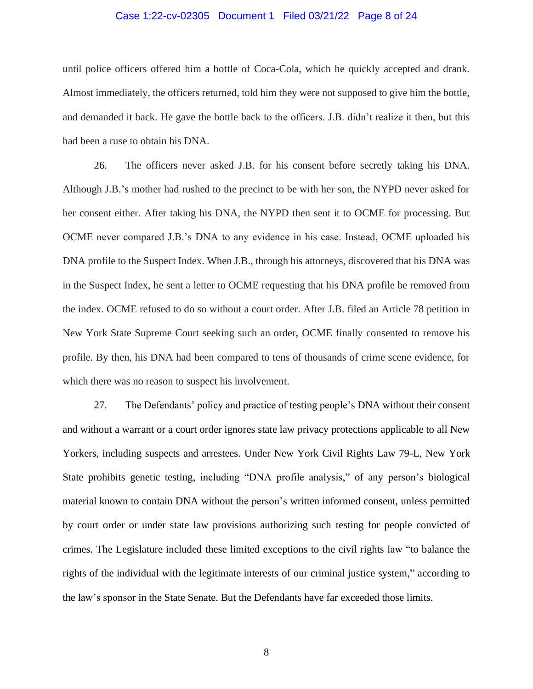#### Case 1:22-cv-02305 Document 1 Filed 03/21/22 Page 8 of 24

until police officers offered him a bottle of Coca-Cola, which he quickly accepted and drank. Almost immediately, the officers returned, told him they were not supposed to give him the bottle, and demanded it back. He gave the bottle back to the officers. J.B. didn't realize it then, but this had been a ruse to obtain his DNA.

26. The officers never asked J.B. for his consent before secretly taking his DNA. Although J.B.'s mother had rushed to the precinct to be with her son, the NYPD never asked for her consent either. After taking his DNA, the NYPD then sent it to OCME for processing. But OCME never compared J.B.'s DNA to any evidence in his case. Instead, OCME uploaded his DNA profile to the Suspect Index. When J.B., through his attorneys, discovered that his DNA was in the Suspect Index, he sent a letter to OCME requesting that his DNA profile be removed from the index. OCME refused to do so without a court order. After J.B. filed an Article 78 petition in New York State Supreme Court seeking such an order, OCME finally consented to remove his profile. By then, his DNA had been compared to tens of thousands of crime scene evidence, for which there was no reason to suspect his involvement.

27. The Defendants' policy and practice of testing people's DNA without their consent and without a warrant or a court order ignores state law privacy protections applicable to all New Yorkers, including suspects and arrestees. Under New York Civil Rights Law 79-L, New York State prohibits genetic testing, including "DNA profile analysis," of any person's biological material known to contain DNA without the person's written informed consent, unless permitted by court order or under state law provisions authorizing such testing for people convicted of crimes. The Legislature included these limited exceptions to the civil rights law "to balance the rights of the individual with the legitimate interests of our criminal justice system," according to the law's sponsor in the State Senate. But the Defendants have far exceeded those limits.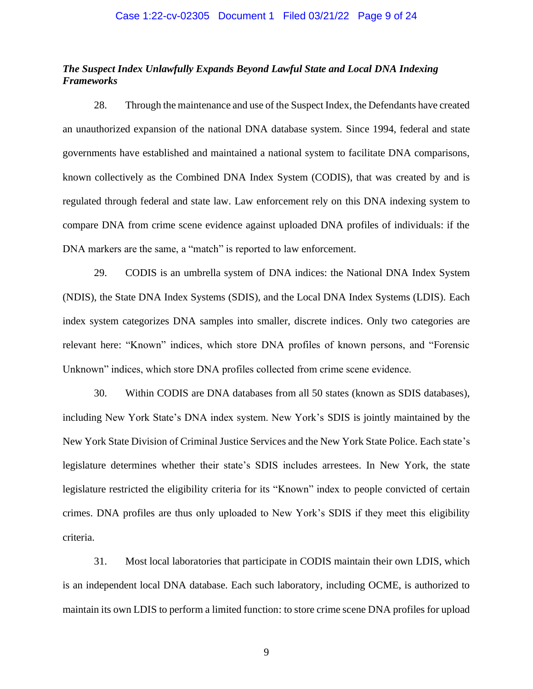## *The Suspect Index Unlawfully Expands Beyond Lawful State and Local DNA Indexing Frameworks*

28. Through the maintenance and use of the Suspect Index, the Defendants have created an unauthorized expansion of the national DNA database system. Since 1994, federal and state governments have established and maintained a national system to facilitate DNA comparisons, known collectively as the Combined DNA Index System (CODIS), that was created by and is regulated through federal and state law. Law enforcement rely on this DNA indexing system to compare DNA from crime scene evidence against uploaded DNA profiles of individuals: if the DNA markers are the same, a "match" is reported to law enforcement.

29. CODIS is an umbrella system of DNA indices: the National DNA Index System (NDIS), the State DNA Index Systems (SDIS), and the Local DNA Index Systems (LDIS). Each index system categorizes DNA samples into smaller, discrete indices. Only two categories are relevant here: "Known" indices, which store DNA profiles of known persons, and "Forensic Unknown" indices, which store DNA profiles collected from crime scene evidence.

30. Within CODIS are DNA databases from all 50 states (known as SDIS databases), including New York State's DNA index system. New York's SDIS is jointly maintained by the New York State Division of Criminal Justice Services and the New York State Police. Each state's legislature determines whether their state's SDIS includes arrestees. In New York, the state legislature restricted the eligibility criteria for its "Known" index to people convicted of certain crimes. DNA profiles are thus only uploaded to New York's SDIS if they meet this eligibility criteria.

31. Most local laboratories that participate in CODIS maintain their own LDIS, which is an independent local DNA database. Each such laboratory, including OCME, is authorized to maintain its own LDIS to perform a limited function: to store crime scene DNA profiles for upload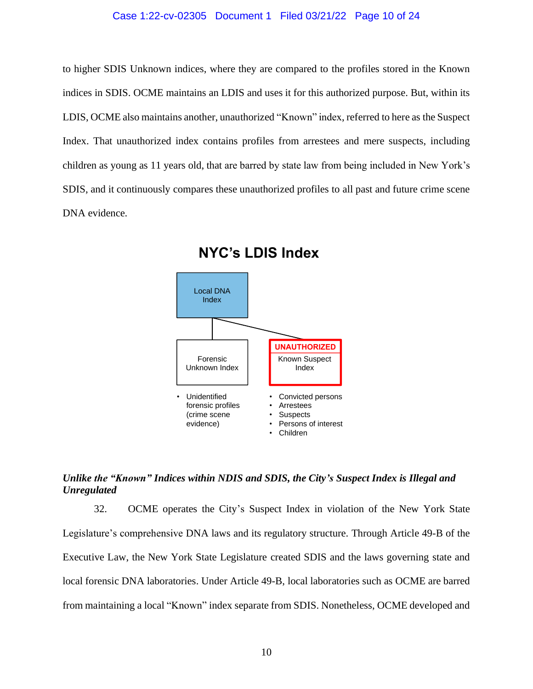#### Case 1:22-cv-02305 Document 1 Filed 03/21/22 Page 10 of 24

to higher SDIS Unknown indices, where they are compared to the profiles stored in the Known indices in SDIS. OCME maintains an LDIS and uses it for this authorized purpose. But, within its LDIS, OCME also maintains another, unauthorized "Known" index, referred to here as the Suspect Index. That unauthorized index contains profiles from arrestees and mere suspects, including children as young as 11 years old, that are barred by state law from being included in New York's SDIS, and it continuously compares these unauthorized profiles to all past and future crime scene DNA evidence.





## *Unlike the "Known" Indices within NDIS and SDIS, the City's Suspect Index is Illegal and Unregulated*

32. OCME operates the City's Suspect Index in violation of the New York State Legislature's comprehensive DNA laws and its regulatory structure. Through Article 49-B of the Executive Law, the New York State Legislature created SDIS and the laws governing state and local forensic DNA laboratories. Under Article 49-B, local laboratories such as OCME are barred from maintaining a local "Known" index separate from SDIS. Nonetheless, OCME developed and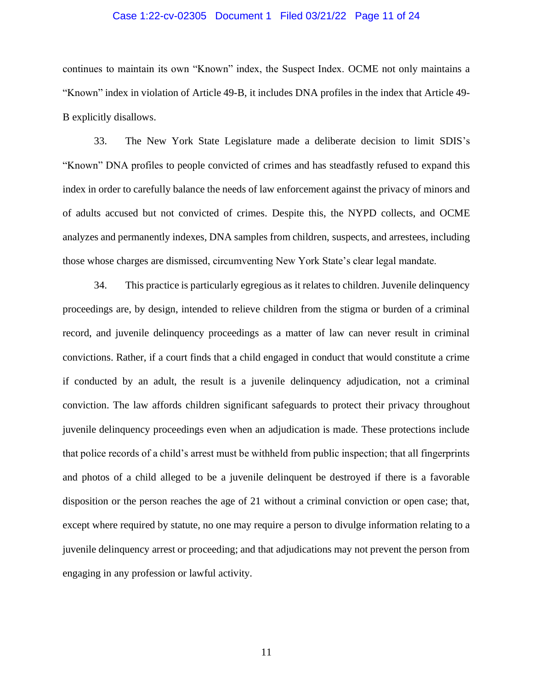#### Case 1:22-cv-02305 Document 1 Filed 03/21/22 Page 11 of 24

continues to maintain its own "Known" index, the Suspect Index. OCME not only maintains a "Known" index in violation of Article 49-B, it includes DNA profiles in the index that Article 49- B explicitly disallows.

33. The New York State Legislature made a deliberate decision to limit SDIS's "Known" DNA profiles to people convicted of crimes and has steadfastly refused to expand this index in order to carefully balance the needs of law enforcement against the privacy of minors and of adults accused but not convicted of crimes. Despite this, the NYPD collects, and OCME analyzes and permanently indexes, DNA samples from children, suspects, and arrestees, including those whose charges are dismissed, circumventing New York State's clear legal mandate.

34. This practice is particularly egregious as it relates to children. Juvenile delinquency proceedings are, by design, intended to relieve children from the stigma or burden of a criminal record, and juvenile delinquency proceedings as a matter of law can never result in criminal convictions. Rather, if a court finds that a child engaged in conduct that would constitute a crime if conducted by an adult, the result is a juvenile delinquency adjudication, not a criminal conviction. The law affords children significant safeguards to protect their privacy throughout juvenile delinquency proceedings even when an adjudication is made. These protections include that police records of a child's arrest must be withheld from public inspection; that all fingerprints and photos of a child alleged to be a juvenile delinquent be destroyed if there is a favorable disposition or the person reaches the age of 21 without a criminal conviction or open case; that, except where required by statute, no one may require a person to divulge information relating to a juvenile delinquency arrest or proceeding; and that adjudications may not prevent the person from engaging in any profession or lawful activity.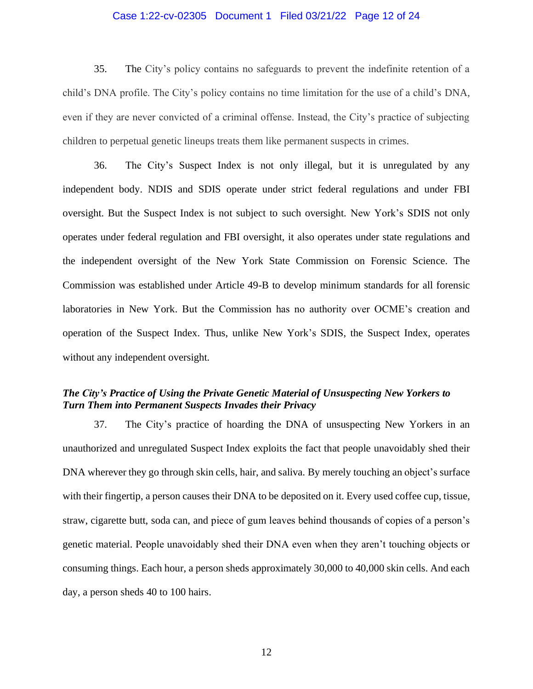#### Case 1:22-cv-02305 Document 1 Filed 03/21/22 Page 12 of 24

35. The City's policy contains no safeguards to prevent the indefinite retention of a child's DNA profile. The City's policy contains no time limitation for the use of a child's DNA, even if they are never convicted of a criminal offense. Instead, the City's practice of subjecting children to perpetual genetic lineups treats them like permanent suspects in crimes.

36. The City's Suspect Index is not only illegal, but it is unregulated by any independent body. NDIS and SDIS operate under strict federal regulations and under FBI oversight. But the Suspect Index is not subject to such oversight. New York's SDIS not only operates under federal regulation and FBI oversight, it also operates under state regulations and the independent oversight of the New York State Commission on Forensic Science. The Commission was established under Article 49-B to develop minimum standards for all forensic laboratories in New York. But the Commission has no authority over OCME's creation and operation of the Suspect Index. Thus, unlike New York's SDIS, the Suspect Index, operates without any independent oversight.

# *The City's Practice of Using the Private Genetic Material of Unsuspecting New Yorkers to Turn Them into Permanent Suspects Invades their Privacy*

37. The City's practice of hoarding the DNA of unsuspecting New Yorkers in an unauthorized and unregulated Suspect Index exploits the fact that people unavoidably shed their DNA wherever they go through skin cells, hair, and saliva. By merely touching an object's surface with their fingertip, a person causes their DNA to be deposited on it. Every used coffee cup, tissue, straw, cigarette butt, soda can, and piece of gum leaves behind thousands of copies of a person's genetic material. People unavoidably shed their DNA even when they aren't touching objects or consuming things. Each hour, a person sheds approximately 30,000 to 40,000 skin cells. And each day, a person sheds 40 to 100 hairs.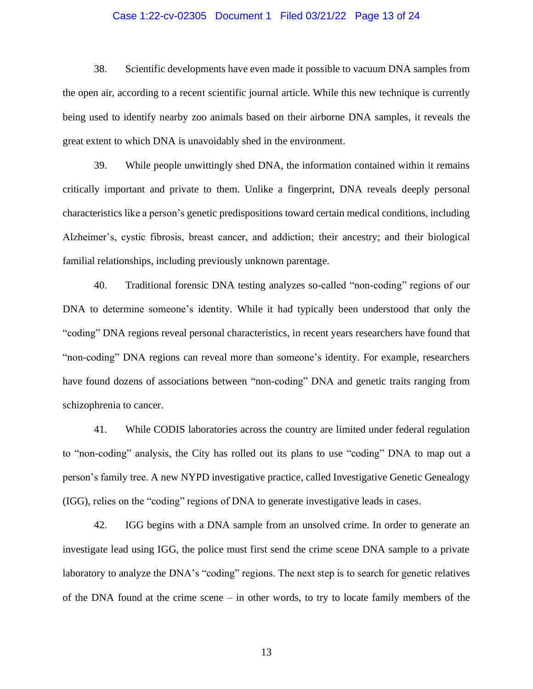#### Case 1:22-cv-02305 Document 1 Filed 03/21/22 Page 13 of 24

38. Scientific developments have even made it possible to vacuum DNA samples from the open air, according to a recent scientific journal article. While this new technique is currently being used to identify nearby zoo animals based on their airborne DNA samples, it reveals the great extent to which DNA is unavoidably shed in the environment.

39. While people unwittingly shed DNA, the information contained within it remains critically important and private to them. Unlike a fingerprint, DNA reveals deeply personal characteristics like a person's genetic predispositions toward certain medical conditions, including Alzheimer's, cystic fibrosis, breast cancer, and addiction; their ancestry; and their biological familial relationships, including previously unknown parentage.

40. Traditional forensic DNA testing analyzes so-called "non-coding" regions of our DNA to determine someone's identity. While it had typically been understood that only the "coding" DNA regions reveal personal characteristics, in recent years researchers have found that "non-coding" DNA regions can reveal more than someone's identity. For example, researchers have found dozens of associations between "non-coding" DNA and genetic traits ranging from schizophrenia to cancer.

41. While CODIS laboratories across the country are limited under federal regulation to "non-coding" analysis, the City has rolled out its plans to use "coding" DNA to map out a person's family tree. A new NYPD investigative practice, called Investigative Genetic Genealogy (IGG), relies on the "coding" regions of DNA to generate investigative leads in cases.

42. IGG begins with a DNA sample from an unsolved crime. In order to generate an investigate lead using IGG, the police must first send the crime scene DNA sample to a private laboratory to analyze the DNA's "coding" regions. The next step is to search for genetic relatives of the DNA found at the crime scene – in other words, to try to locate family members of the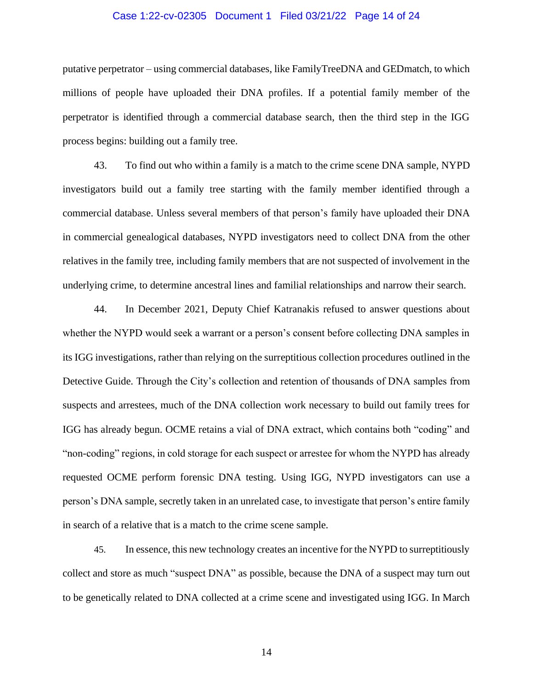#### Case 1:22-cv-02305 Document 1 Filed 03/21/22 Page 14 of 24

putative perpetrator – using commercial databases, like FamilyTreeDNA and GEDmatch, to which millions of people have uploaded their DNA profiles. If a potential family member of the perpetrator is identified through a commercial database search, then the third step in the IGG process begins: building out a family tree.

43. To find out who within a family is a match to the crime scene DNA sample, NYPD investigators build out a family tree starting with the family member identified through a commercial database. Unless several members of that person's family have uploaded their DNA in commercial genealogical databases, NYPD investigators need to collect DNA from the other relatives in the family tree, including family members that are not suspected of involvement in the underlying crime, to determine ancestral lines and familial relationships and narrow their search.

44. In December 2021, Deputy Chief Katranakis refused to answer questions about whether the NYPD would seek a warrant or a person's consent before collecting DNA samples in its IGG investigations, rather than relying on the surreptitious collection procedures outlined in the Detective Guide. Through the City's collection and retention of thousands of DNA samples from suspects and arrestees, much of the DNA collection work necessary to build out family trees for IGG has already begun. OCME retains a vial of DNA extract, which contains both "coding" and "non-coding" regions, in cold storage for each suspect or arrestee for whom the NYPD has already requested OCME perform forensic DNA testing. Using IGG, NYPD investigators can use a person's DNA sample, secretly taken in an unrelated case, to investigate that person's entire family in search of a relative that is a match to the crime scene sample.

45. In essence, this new technology creates an incentive for the NYPD to surreptitiously collect and store as much "suspect DNA" as possible, because the DNA of a suspect may turn out to be genetically related to DNA collected at a crime scene and investigated using IGG. In March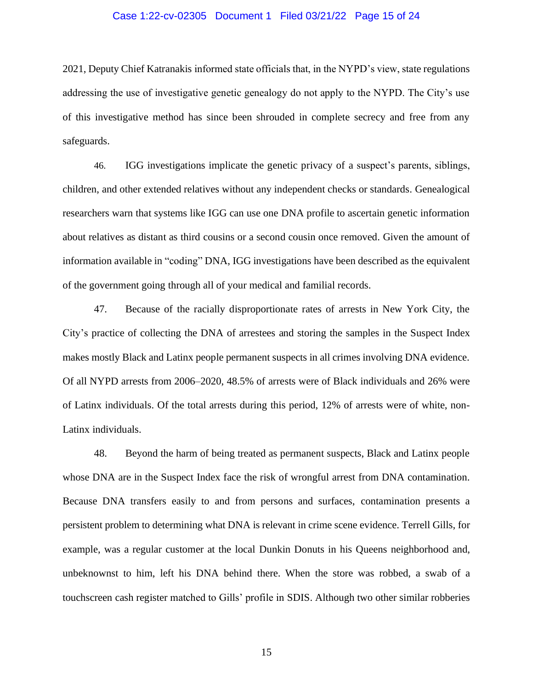#### Case 1:22-cv-02305 Document 1 Filed 03/21/22 Page 15 of 24

2021, Deputy Chief Katranakis informed state officials that, in the NYPD's view, state regulations addressing the use of investigative genetic genealogy do not apply to the NYPD. The City's use of this investigative method has since been shrouded in complete secrecy and free from any safeguards.

46. IGG investigations implicate the genetic privacy of a suspect's parents, siblings, children, and other extended relatives without any independent checks or standards. Genealogical researchers warn that systems like IGG can use one DNA profile to ascertain genetic information about relatives as distant as third cousins or a second cousin once removed. Given the amount of information available in "coding" DNA, IGG investigations have been described as the equivalent of the government going through all of your medical and familial records.

47. Because of the racially disproportionate rates of arrests in New York City, the City's practice of collecting the DNA of arrestees and storing the samples in the Suspect Index makes mostly Black and Latinx people permanent suspects in all crimes involving DNA evidence. Of all NYPD arrests from 2006–2020, 48.5% of arrests were of Black individuals and 26% were of Latinx individuals. Of the total arrests during this period, 12% of arrests were of white, non-Latinx individuals.

48. Beyond the harm of being treated as permanent suspects, Black and Latinx people whose DNA are in the Suspect Index face the risk of wrongful arrest from DNA contamination. Because DNA transfers easily to and from persons and surfaces, contamination presents a persistent problem to determining what DNA is relevant in crime scene evidence. Terrell Gills, for example, was a regular customer at the local Dunkin Donuts in his Queens neighborhood and, unbeknownst to him, left his DNA behind there. When the store was robbed, a swab of a touchscreen cash register matched to Gills' profile in SDIS. Although two other similar robberies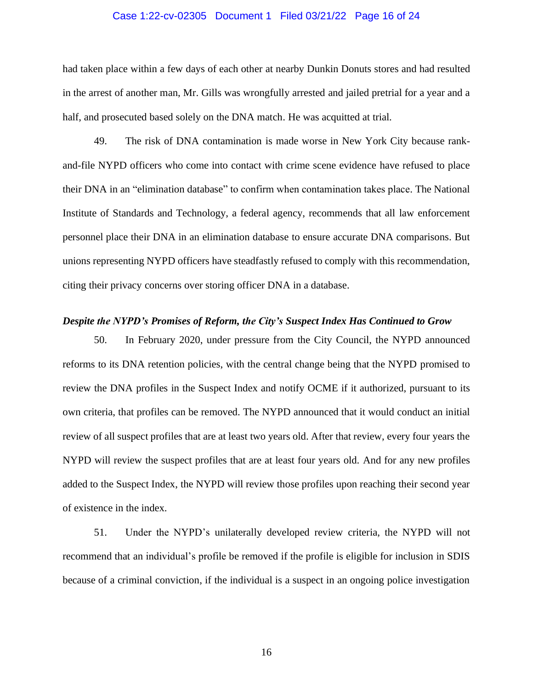#### Case 1:22-cv-02305 Document 1 Filed 03/21/22 Page 16 of 24

had taken place within a few days of each other at nearby Dunkin Donuts stores and had resulted in the arrest of another man, Mr. Gills was wrongfully arrested and jailed pretrial for a year and a half, and prosecuted based solely on the DNA match. He was acquitted at trial.

49. The risk of DNA contamination is made worse in New York City because rankand-file NYPD officers who come into contact with crime scene evidence have refused to place their DNA in an "elimination database" to confirm when contamination takes place. The National Institute of Standards and Technology, a federal agency, recommends that all law enforcement personnel place their DNA in an elimination database to ensure accurate DNA comparisons. But unions representing NYPD officers have steadfastly refused to comply with this recommendation, citing their privacy concerns over storing officer DNA in a database.

### *Despite the NYPD's Promises of Reform, the City's Suspect Index Has Continued to Grow*

50. In February 2020, under pressure from the City Council, the NYPD announced reforms to its DNA retention policies, with the central change being that the NYPD promised to review the DNA profiles in the Suspect Index and notify OCME if it authorized, pursuant to its own criteria, that profiles can be removed. The NYPD announced that it would conduct an initial review of all suspect profiles that are at least two years old. After that review, every four years the NYPD will review the suspect profiles that are at least four years old. And for any new profiles added to the Suspect Index, the NYPD will review those profiles upon reaching their second year of existence in the index.

51. Under the NYPD's unilaterally developed review criteria, the NYPD will not recommend that an individual's profile be removed if the profile is eligible for inclusion in SDIS because of a criminal conviction, if the individual is a suspect in an ongoing police investigation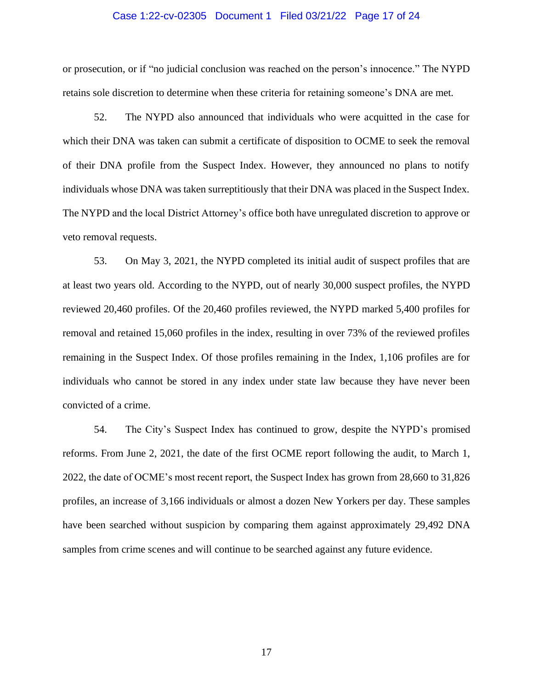#### Case 1:22-cv-02305 Document 1 Filed 03/21/22 Page 17 of 24

or prosecution, or if "no judicial conclusion was reached on the person's innocence." The NYPD retains sole discretion to determine when these criteria for retaining someone's DNA are met.

52. The NYPD also announced that individuals who were acquitted in the case for which their DNA was taken can submit a certificate of disposition to OCME to seek the removal of their DNA profile from the Suspect Index. However, they announced no plans to notify individuals whose DNA was taken surreptitiously that their DNA was placed in the Suspect Index. The NYPD and the local District Attorney's office both have unregulated discretion to approve or veto removal requests.

53. On May 3, 2021, the NYPD completed its initial audit of suspect profiles that are at least two years old. According to the NYPD, out of nearly 30,000 suspect profiles, the NYPD reviewed 20,460 profiles. Of the 20,460 profiles reviewed, the NYPD marked 5,400 profiles for removal and retained 15,060 profiles in the index, resulting in over 73% of the reviewed profiles remaining in the Suspect Index. Of those profiles remaining in the Index, 1,106 profiles are for individuals who cannot be stored in any index under state law because they have never been convicted of a crime.

54. The City's Suspect Index has continued to grow, despite the NYPD's promised reforms. From June 2, 2021, the date of the first OCME report following the audit, to March 1, 2022, the date of OCME's most recent report, the Suspect Index has grown from 28,660 to 31,826 profiles, an increase of 3,166 individuals or almost a dozen New Yorkers per day. These samples have been searched without suspicion by comparing them against approximately 29,492 DNA samples from crime scenes and will continue to be searched against any future evidence.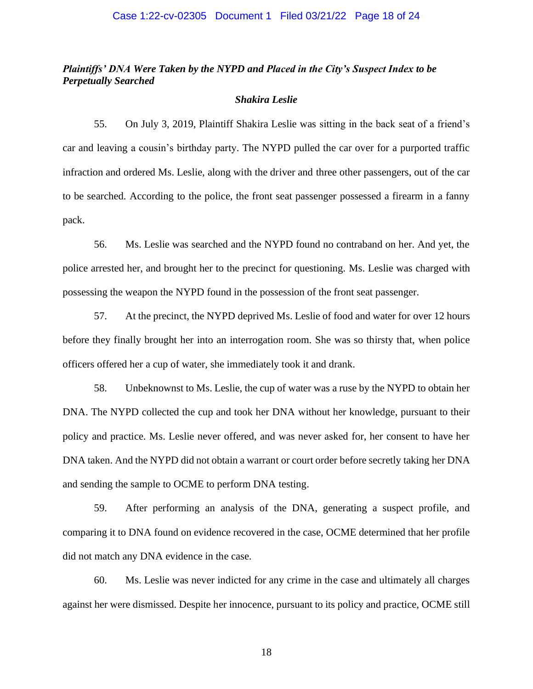## *Plaintiffs' DNA Were Taken by the NYPD and Placed in the City's Suspect Index to be Perpetually Searched*

#### *Shakira Leslie*

55. On July 3, 2019, Plaintiff Shakira Leslie was sitting in the back seat of a friend's car and leaving a cousin's birthday party. The NYPD pulled the car over for a purported traffic infraction and ordered Ms. Leslie, along with the driver and three other passengers, out of the car to be searched. According to the police, the front seat passenger possessed a firearm in a fanny pack.

56. Ms. Leslie was searched and the NYPD found no contraband on her. And yet, the police arrested her, and brought her to the precinct for questioning. Ms. Leslie was charged with possessing the weapon the NYPD found in the possession of the front seat passenger.

57. At the precinct, the NYPD deprived Ms. Leslie of food and water for over 12 hours before they finally brought her into an interrogation room. She was so thirsty that, when police officers offered her a cup of water, she immediately took it and drank.

58. Unbeknownst to Ms. Leslie, the cup of water was a ruse by the NYPD to obtain her DNA. The NYPD collected the cup and took her DNA without her knowledge, pursuant to their policy and practice. Ms. Leslie never offered, and was never asked for, her consent to have her DNA taken. And the NYPD did not obtain a warrant or court order before secretly taking her DNA and sending the sample to OCME to perform DNA testing.

59. After performing an analysis of the DNA, generating a suspect profile, and comparing it to DNA found on evidence recovered in the case, OCME determined that her profile did not match any DNA evidence in the case.

60. Ms. Leslie was never indicted for any crime in the case and ultimately all charges against her were dismissed. Despite her innocence, pursuant to its policy and practice, OCME still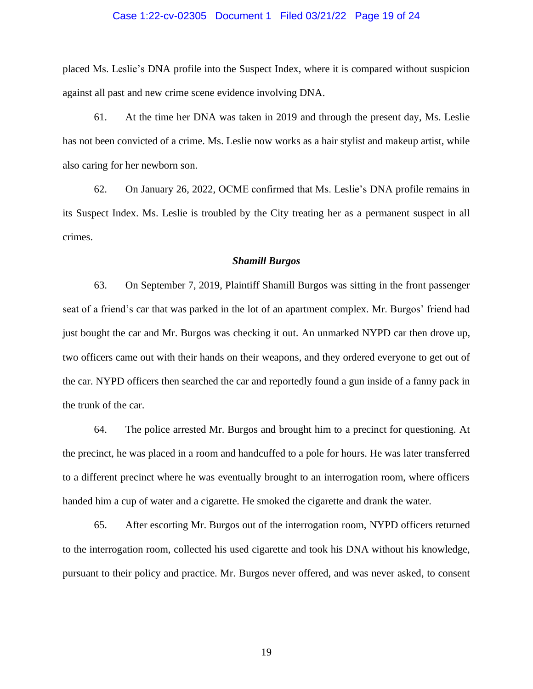#### Case 1:22-cv-02305 Document 1 Filed 03/21/22 Page 19 of 24

placed Ms. Leslie's DNA profile into the Suspect Index, where it is compared without suspicion against all past and new crime scene evidence involving DNA.

61. At the time her DNA was taken in 2019 and through the present day, Ms. Leslie has not been convicted of a crime. Ms. Leslie now works as a hair stylist and makeup artist, while also caring for her newborn son.

62. On January 26, 2022, OCME confirmed that Ms. Leslie's DNA profile remains in its Suspect Index. Ms. Leslie is troubled by the City treating her as a permanent suspect in all crimes.

#### *Shamill Burgos*

63. On September 7, 2019, Plaintiff Shamill Burgos was sitting in the front passenger seat of a friend's car that was parked in the lot of an apartment complex. Mr. Burgos' friend had just bought the car and Mr. Burgos was checking it out. An unmarked NYPD car then drove up, two officers came out with their hands on their weapons, and they ordered everyone to get out of the car. NYPD officers then searched the car and reportedly found a gun inside of a fanny pack in the trunk of the car.

64. The police arrested Mr. Burgos and brought him to a precinct for questioning. At the precinct, he was placed in a room and handcuffed to a pole for hours. He was later transferred to a different precinct where he was eventually brought to an interrogation room, where officers handed him a cup of water and a cigarette. He smoked the cigarette and drank the water.

65. After escorting Mr. Burgos out of the interrogation room, NYPD officers returned to the interrogation room, collected his used cigarette and took his DNA without his knowledge, pursuant to their policy and practice. Mr. Burgos never offered, and was never asked, to consent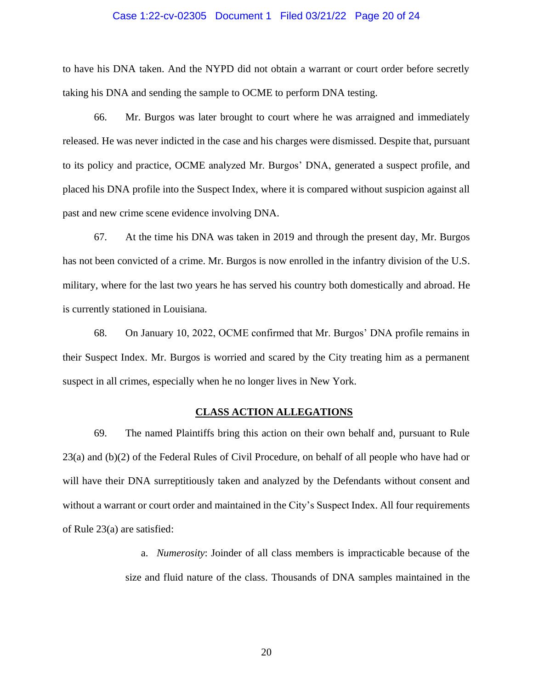#### Case 1:22-cv-02305 Document 1 Filed 03/21/22 Page 20 of 24

to have his DNA taken. And the NYPD did not obtain a warrant or court order before secretly taking his DNA and sending the sample to OCME to perform DNA testing.

66. Mr. Burgos was later brought to court where he was arraigned and immediately released. He was never indicted in the case and his charges were dismissed. Despite that, pursuant to its policy and practice, OCME analyzed Mr. Burgos' DNA, generated a suspect profile, and placed his DNA profile into the Suspect Index, where it is compared without suspicion against all past and new crime scene evidence involving DNA.

67. At the time his DNA was taken in 2019 and through the present day, Mr. Burgos has not been convicted of a crime. Mr. Burgos is now enrolled in the infantry division of the U.S. military, where for the last two years he has served his country both domestically and abroad. He is currently stationed in Louisiana.

68. On January 10, 2022, OCME confirmed that Mr. Burgos' DNA profile remains in their Suspect Index. Mr. Burgos is worried and scared by the City treating him as a permanent suspect in all crimes, especially when he no longer lives in New York.

### **CLASS ACTION ALLEGATIONS**

69. The named Plaintiffs bring this action on their own behalf and, pursuant to Rule 23(a) and (b)(2) of the Federal Rules of Civil Procedure, on behalf of all people who have had or will have their DNA surreptitiously taken and analyzed by the Defendants without consent and without a warrant or court order and maintained in the City's Suspect Index. All four requirements of Rule 23(a) are satisfied:

> a. *Numerosity*: Joinder of all class members is impracticable because of the size and fluid nature of the class. Thousands of DNA samples maintained in the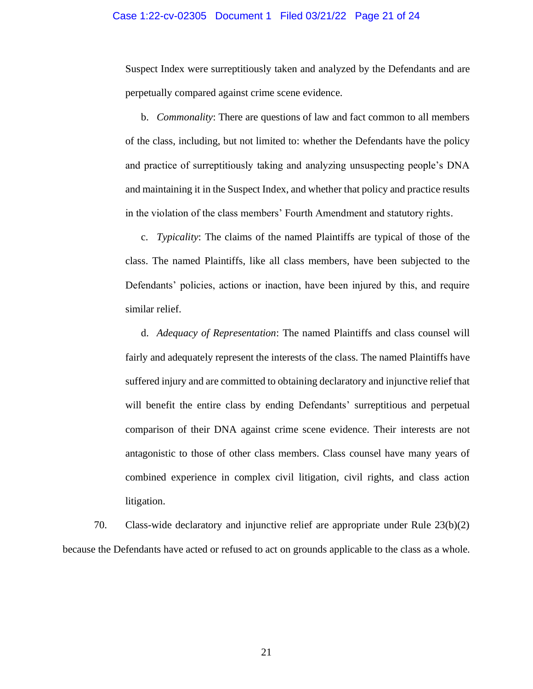#### Case 1:22-cv-02305 Document 1 Filed 03/21/22 Page 21 of 24

Suspect Index were surreptitiously taken and analyzed by the Defendants and are perpetually compared against crime scene evidence.

b. *Commonality*: There are questions of law and fact common to all members of the class, including, but not limited to: whether the Defendants have the policy and practice of surreptitiously taking and analyzing unsuspecting people's DNA and maintaining it in the Suspect Index, and whether that policy and practice results in the violation of the class members' Fourth Amendment and statutory rights.

c. *Typicality*: The claims of the named Plaintiffs are typical of those of the class. The named Plaintiffs, like all class members, have been subjected to the Defendants' policies, actions or inaction, have been injured by this, and require similar relief.

d. *Adequacy of Representation*: The named Plaintiffs and class counsel will fairly and adequately represent the interests of the class. The named Plaintiffs have suffered injury and are committed to obtaining declaratory and injunctive relief that will benefit the entire class by ending Defendants' surreptitious and perpetual comparison of their DNA against crime scene evidence. Their interests are not antagonistic to those of other class members. Class counsel have many years of combined experience in complex civil litigation, civil rights, and class action litigation.

70. Class-wide declaratory and injunctive relief are appropriate under Rule 23(b)(2) because the Defendants have acted or refused to act on grounds applicable to the class as a whole.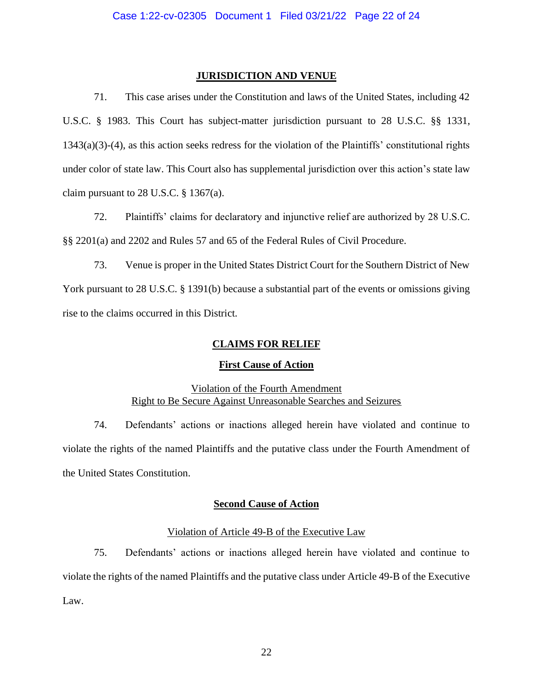### **JURISDICTION AND VENUE**

71. This case arises under the Constitution and laws of the United States, including 42 U.S.C. § 1983. This Court has subject-matter jurisdiction pursuant to 28 U.S.C. §§ 1331, 1343(a)(3)-(4), as this action seeks redress for the violation of the Plaintiffs' constitutional rights under color of state law. This Court also has supplemental jurisdiction over this action's state law claim pursuant to 28 U.S.C.  $\S$  1367(a).

72. Plaintiffs' claims for declaratory and injunctive relief are authorized by 28 U.S.C. §§ 2201(a) and 2202 and Rules 57 and 65 of the Federal Rules of Civil Procedure.

73. Venue is proper in the United States District Court for the Southern District of New York pursuant to 28 U.S.C. § 1391(b) because a substantial part of the events or omissions giving rise to the claims occurred in this District.

## **CLAIMS FOR RELIEF**

## **First Cause of Action**

# Violation of the Fourth Amendment Right to Be Secure Against Unreasonable Searches and Seizures

74. Defendants' actions or inactions alleged herein have violated and continue to violate the rights of the named Plaintiffs and the putative class under the Fourth Amendment of the United States Constitution.

## **Second Cause of Action**

## Violation of Article 49-B of the Executive Law

75. Defendants' actions or inactions alleged herein have violated and continue to violate the rights of the named Plaintiffs and the putative class under Article 49-B of the Executive Law.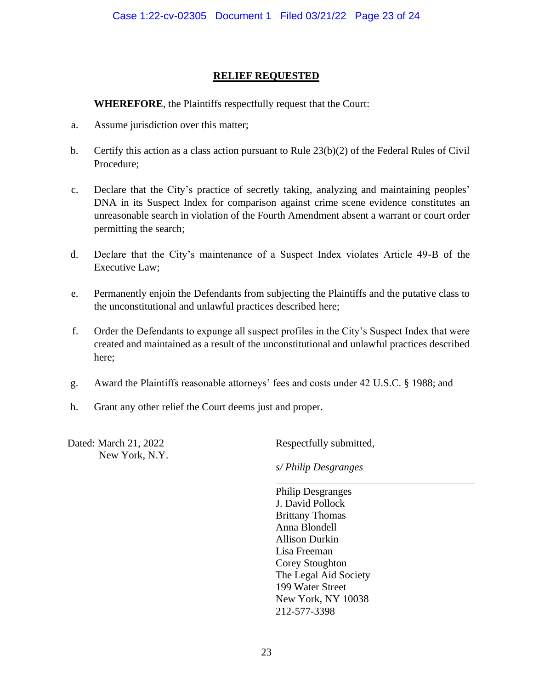# **RELIEF REQUESTED**

## **WHEREFORE**, the Plaintiffs respectfully request that the Court:

- a. Assume jurisdiction over this matter;
- b. Certify this action as a class action pursuant to Rule 23(b)(2) of the Federal Rules of Civil Procedure;
- c. Declare that the City's practice of secretly taking, analyzing and maintaining peoples' DNA in its Suspect Index for comparison against crime scene evidence constitutes an unreasonable search in violation of the Fourth Amendment absent a warrant or court order permitting the search;
- d. Declare that the City's maintenance of a Suspect Index violates Article 49-B of the Executive Law;
- e. Permanently enjoin the Defendants from subjecting the Plaintiffs and the putative class to the unconstitutional and unlawful practices described here;
- f. Order the Defendants to expunge all suspect profiles in the City's Suspect Index that were created and maintained as a result of the unconstitutional and unlawful practices described here;
- g. Award the Plaintiffs reasonable attorneys' fees and costs under 42 U.S.C. § 1988; and
- h. Grant any other relief the Court deems just and proper.

Dated: March 21, 2022 New York, N.Y. Respectfully submitted,

*s/ Philip Desgranges*

Philip Desgranges J. David Pollock Brittany Thomas Anna Blondell Allison Durkin Lisa Freeman Corey Stoughton The Legal Aid Society 199 Water Street New York, NY 10038 212-577-3398